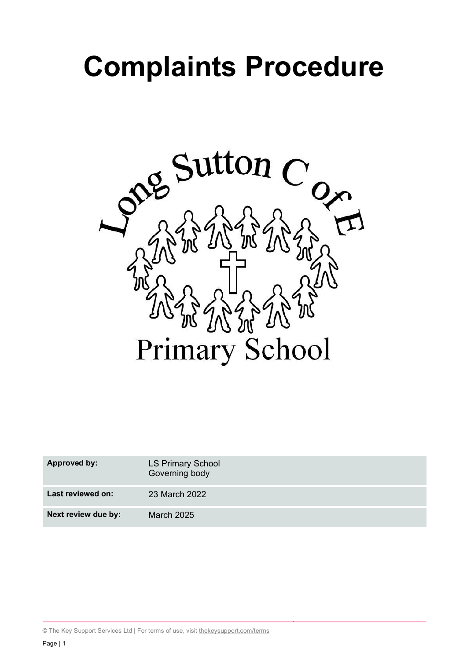# **Complaints Procedure**



| <b>Approved by:</b> | <b>LS Primary School</b><br>Governing body |
|---------------------|--------------------------------------------|
| Last reviewed on:   | 23 March 2022                              |
| Next review due by: | <b>March 2025</b>                          |

© The Key Support Services Ltd | For terms of use, visit thekeysupport.com/terms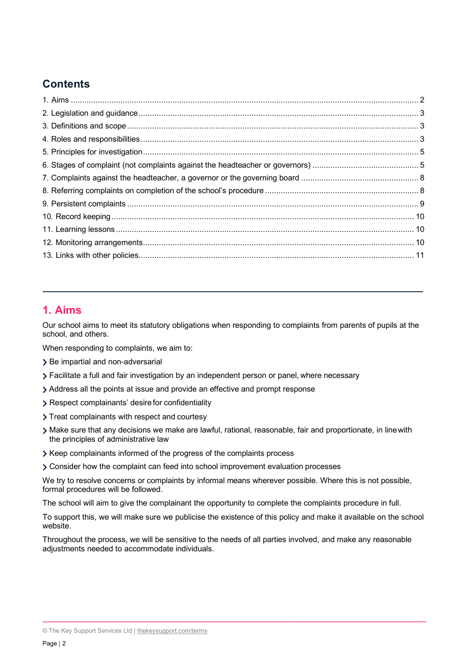# **Contents**

# **1. Aims**

Our school aims to meet its statutory obligations when responding to complaints from parents of pupils at the school, and others.

When responding to complaints, we aim to:

- > Be impartial and non-adversarial
- Facilitate a full and fair investigation by an independent person or panel, where necessary
- Address all the points at issue and provide an effective and prompt response
- > Respect complainants' desire for confidentiality
- > Treat complainants with respect and courtesy
- Make sure that any decisions we make are lawful, rational, reasonable, fair and proportionate, in linewith the principles of administrative law
- > Keep complainants informed of the progress of the complaints process
- Consider how the complaint can feed into school improvement evaluation processes

We try to resolve concerns or complaints by informal means wherever possible. Where this is not possible, formal procedures will be followed.

The school will aim to give the complainant the opportunity to complete the complaints procedure in full.

To support this, we will make sure we publicise the existence of this policy and make it available on the school website.

Throughout the process, we will be sensitive to the needs of all parties involved, and make any reasonable adjustments needed to accommodate individuals.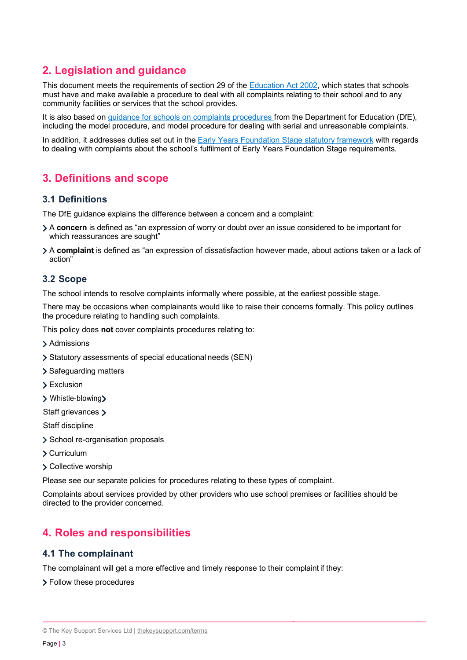# **2. Legislation and guidance**

This document meets the requirements of section 29 of the Education Act 2002, which states that schools must have and make available a procedure to deal with all complaints relating to their school and to any community facilities or services that the school provides.

It is also based on guidance for schools on complaints procedures from the Department for Education (DfE), including the model procedure, and model procedure for dealing with serial and unreasonable complaints.

In addition, it addresses duties set out in the Early Years Foundation Stage statutory framework with regards to dealing with complaints about the school's fulfilment of Early Years Foundation Stage requirements.

# **3. Definitions and scope**

## **3.1 Definitions**

The DfE guidance explains the difference between a concern and a complaint:

- A **concern** is defined as "an expression of worry or doubt over an issue considered to be important for which reassurances are sought"
- A **complaint** is defined as "an expression of dissatisfaction however made, about actions taken or a lack of action"

## **3.2 Scope**

The school intends to resolve complaints informally where possible, at the earliest possible stage.

There may be occasions when complainants would like to raise their concerns formally. This policy outlines the procedure relating to handling such complaints.

This policy does **not** cover complaints procedures relating to:

- > Admissions
- Statutory assessments of special educational needs (SEN)
- > Safeguarding matters
- > Exclusion
- Whistle-blowing

Staff grievances >

Staff discipline

- > School re-organisation proposals
- Curriculum
- > Collective worship

Please see our separate policies for procedures relating to these types of complaint.

Complaints about services provided by other providers who use school premises or facilities should be directed to the provider concerned.

# **4. Roles and responsibilities**

## **4.1 The complainant**

The complainant will get a more effective and timely response to their complaint if they:

> Follow these procedures

<sup>©</sup> The Key Support Services Ltd | thekeysupport.com/terms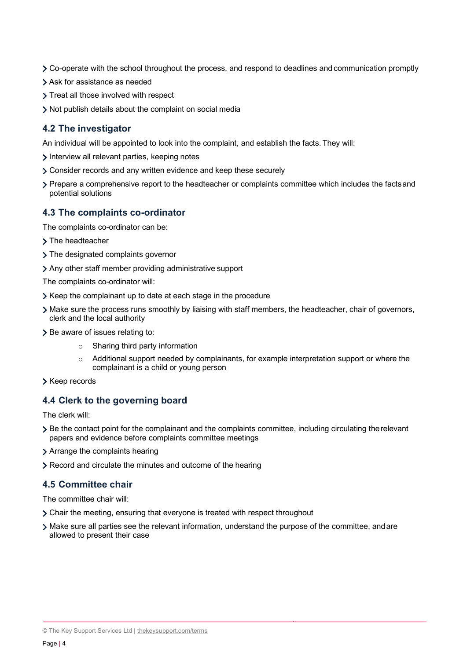- Co-operate with the school throughout the process, and respond to deadlines and communication promptly
- Ask for assistance as needed
- > Treat all those involved with respect
- Not publish details about the complaint on social media

## **4.2 The investigator**

An individual will be appointed to look into the complaint, and establish the facts.They will:

- Interview all relevant parties, keeping notes
- Consider records and any written evidence and keep these securely
- Prepare a comprehensive report to the headteacher or complaints committee which includes the factsand potential solutions

## **4.3 The complaints co-ordinator**

The complaints co-ordinator can be:

- > The headteacher
- > The designated complaints governor
- Any other staff member providing administrative support
- The complaints co-ordinator will:
- S Keep the complainant up to date at each stage in the procedure
- Make sure the process runs smoothly by liaising with staff members, the headteacher, chair of governors, clerk and the local authority
- > Be aware of issues relating to:
	- o Sharing third party information
	- $\circ$  Additional support needed by complainants, for example interpretation support or where the complainant is a child or young person
- > Keep records

## **4.4 Clerk to the governing board**

The clerk will:

- Be the contact point for the complainant and the complaints committee, including circulating therelevant papers and evidence before complaints committee meetings
- > Arrange the complaints hearing
- Record and circulate the minutes and outcome of the hearing

## **4.5 Committee chair**

The committee chair will:

- Chair the meeting, ensuring that everyone is treated with respect throughout
- Make sure all parties see the relevant information, understand the purpose of the committee, andare allowed to present their case

<sup>©</sup> The Key Support Services Ltd | thekeysupport.com/terms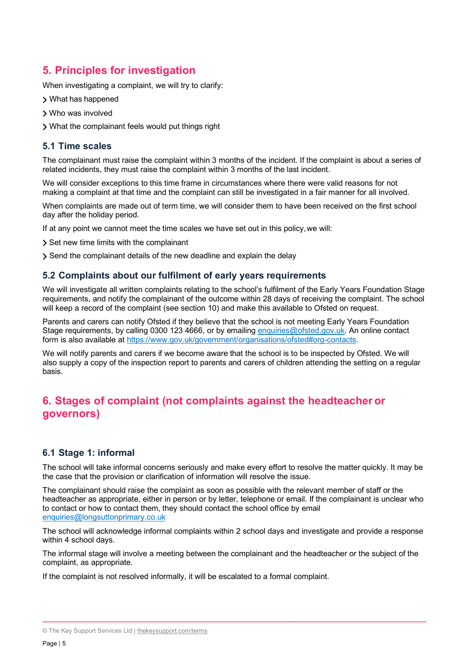# **5. Principles for investigation**

When investigating a complaint, we will try to clarify:

- What has happened
- Who was involved
- What the complainant feels would put things right

# **5.1 Time scales**

The complainant must raise the complaint within 3 months of the incident. If the complaint is about a series of related incidents, they must raise the complaint within 3 months of the last incident.

We will consider exceptions to this time frame in circumstances where there were valid reasons for not making a complaint at that time and the complaint can still be investigated in a fair manner for all involved.

When complaints are made out of term time, we will consider them to have been received on the first school day after the holiday period.

If at any point we cannot meet the time scales we have set out in this policy,we will:

Set new time limits with the complainant

Send the complainant details of the new deadline and explain the delay

## **5.2 Complaints about our fulfilment of early years requirements**

We will investigate all written complaints relating to the school's fulfilment of the Early Years Foundation Stage requirements, and notify the complainant of the outcome within 28 days of receiving the complaint. The school will keep a record of the complaint (see section 10) and make this available to Ofsted on request.

Parents and carers can notify Ofsted if they believe that the school is not meeting Early Years Foundation Stage requirements, by calling 0300 123 4666, or by emailing enquiries@ofsted.gov.uk. An online contact form is also available at https://www.gov.uk/government/organisations/ofsted#org-contacts.

We will notify parents and carers if we become aware that the school is to be inspected by Ofsted. We will also supply a copy of the inspection report to parents and carers of children attending the setting on a regular basis.

# **6. Stages of complaint (not complaints against the headteacher or governors)**

## **6.1 Stage 1: informal**

The school will take informal concerns seriously and make every effort to resolve the matter quickly. It may be the case that the provision or clarification of information will resolve the issue.

The complainant should raise the complaint as soon as possible with the relevant member of staff or the headteacher as appropriate, either in person or by letter, telephone or email. If the complainant is unclear who to contact or how to contact them, they should contact the school office by email enquiries@longsuttonprimary.co.uk

The school will acknowledge informal complaints within 2 school days and investigate and provide a response within 4 school days.

The informal stage will involve a meeting between the complainant and the headteacher or the subject of the complaint, as appropriate.

If the complaint is not resolved informally, it will be escalated to a formal complaint.

<sup>©</sup> The Key Support Services Ltd | thekeysupport.com/terms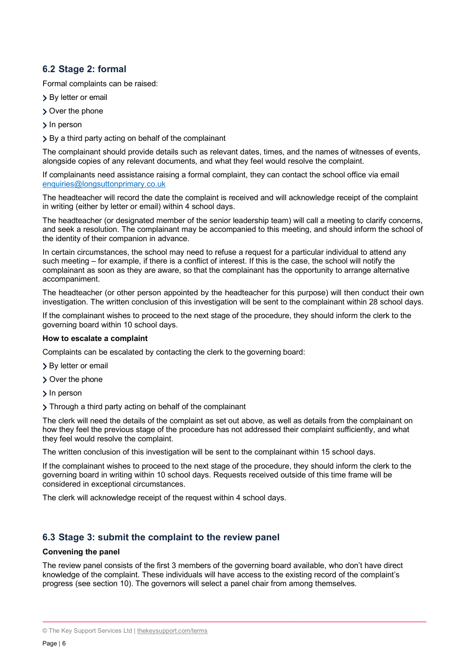# **6.2 Stage 2: formal**

Formal complaints can be raised:

- > By letter or email
- Over the phone
- > In person
- By a third party acting on behalf of the complainant

The complainant should provide details such as relevant dates, times, and the names of witnesses of events, alongside copies of any relevant documents, and what they feel would resolve the complaint.

If complainants need assistance raising a formal complaint, they can contact the school office via email enquiries@longsuttonprimary.co.uk

The headteacher will record the date the complaint is received and will acknowledge receipt of the complaint in writing (either by letter or email) within 4 school days.

The headteacher (or designated member of the senior leadership team) will call a meeting to clarify concerns, and seek a resolution. The complainant may be accompanied to this meeting, and should inform the school of the identity of their companion in advance.

In certain circumstances, the school may need to refuse a request for a particular individual to attend any such meeting – for example, if there is a conflict of interest. If this is the case, the school will notify the complainant as soon as they are aware, so that the complainant has the opportunity to arrange alternative accompaniment.

The headteacher (or other person appointed by the headteacher for this purpose) will then conduct their own investigation. The written conclusion of this investigation will be sent to the complainant within 28 school days.

If the complainant wishes to proceed to the next stage of the procedure, they should inform the clerk to the governing board within 10 school days.

#### **How to escalate a complaint**

Complaints can be escalated by contacting the clerk to the governing board:

- > By letter or email
- Over the phone
- > In person

> Through a third party acting on behalf of the complainant

The clerk will need the details of the complaint as set out above, as well as details from the complainant on how they feel the previous stage of the procedure has not addressed their complaint sufficiently, and what they feel would resolve the complaint.

The written conclusion of this investigation will be sent to the complainant within 15 school days.

If the complainant wishes to proceed to the next stage of the procedure, they should inform the clerk to the governing board in writing within 10 school days. Requests received outside of this time frame will be considered in exceptional circumstances.

The clerk will acknowledge receipt of the request within 4 school days.

## **6.3 Stage 3: submit the complaint to the review panel**

#### **Convening the panel**

The review panel consists of the first 3 members of the governing board available, who don't have direct knowledge of the complaint. These individuals will have access to the existing record of the complaint's progress (see section 10). The governors will select a panel chair from among themselves.

<sup>©</sup> The Key Support Services Ltd | thekeysupport.com/terms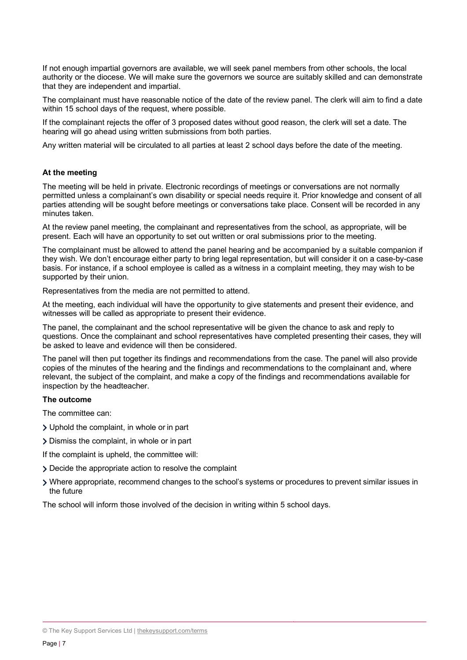If not enough impartial governors are available, we will seek panel members from other schools, the local authority or the diocese. We will make sure the governors we source are suitably skilled and can demonstrate that they are independent and impartial.

The complainant must have reasonable notice of the date of the review panel. The clerk will aim to find a date within 15 school days of the request, where possible.

If the complainant rejects the offer of 3 proposed dates without good reason, the clerk will set a date. The hearing will go ahead using written submissions from both parties.

Any written material will be circulated to all parties at least 2 school days before the date of the meeting.

#### **At the meeting**

The meeting will be held in private. Electronic recordings of meetings or conversations are not normally permitted unless a complainant's own disability or special needs require it. Prior knowledge and consent of all parties attending will be sought before meetings or conversations take place. Consent will be recorded in any minutes taken.

At the review panel meeting, the complainant and representatives from the school, as appropriate, will be present. Each will have an opportunity to set out written or oral submissions prior to the meeting.

The complainant must be allowed to attend the panel hearing and be accompanied by a suitable companion if they wish. We don't encourage either party to bring legal representation, but will consider it on a case-by-case basis. For instance, if a school employee is called as a witness in a complaint meeting, they may wish to be supported by their union.

Representatives from the media are not permitted to attend.

At the meeting, each individual will have the opportunity to give statements and present their evidence, and witnesses will be called as appropriate to present their evidence.

The panel, the complainant and the school representative will be given the chance to ask and reply to questions. Once the complainant and school representatives have completed presenting their cases, they will be asked to leave and evidence will then be considered.

The panel will then put together its findings and recommendations from the case. The panel will also provide copies of the minutes of the hearing and the findings and recommendations to the complainant and, where relevant, the subject of the complaint, and make a copy of the findings and recommendations available for inspection by the headteacher.

#### **The outcome**

The committee can:

- Uphold the complaint, in whole or in part
- Dismiss the complaint, in whole or in part

If the complaint is upheld, the committee will:

- Decide the appropriate action to resolve the complaint
- Where appropriate, recommend changes to the school's systems or procedures to prevent similar issues in the future

The school will inform those involved of the decision in writing within 5 school days.

<sup>©</sup> The Key Support Services Ltd | thekeysupport.com/terms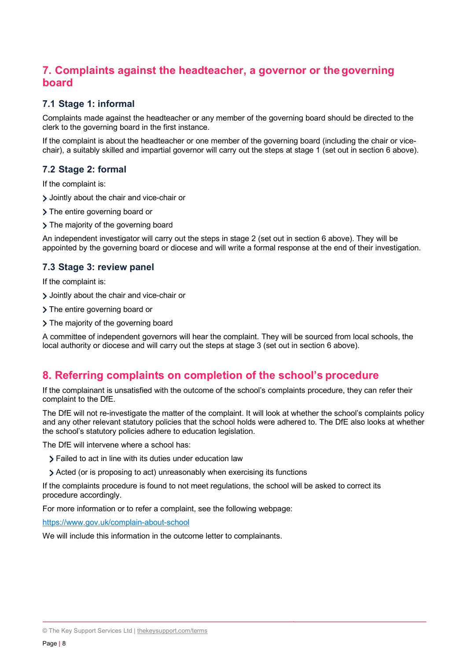# **7. Complaints against the headteacher, a governor or thegoverning board**

# **7.1 Stage 1: informal**

Complaints made against the headteacher or any member of the governing board should be directed to the clerk to the governing board in the first instance.

If the complaint is about the headteacher or one member of the governing board (including the chair or vicechair), a suitably skilled and impartial governor will carry out the steps at stage 1 (set out in section 6 above).

## **7.2 Stage 2: formal**

If the complaint is:

- Jointly about the chair and vice-chair or
- > The entire governing board or
- > The majority of the governing board

An independent investigator will carry out the steps in stage 2 (set out in section 6 above). They will be appointed by the governing board or diocese and will write a formal response at the end of their investigation.

# **7.3 Stage 3: review panel**

If the complaint is:

- Jointly about the chair and vice-chair or
- > The entire governing board or
- > The majority of the governing board

A committee of independent governors will hear the complaint. They will be sourced from local schools, the local authority or diocese and will carry out the steps at stage 3 (set out in section 6 above).

# **8. Referring complaints on completion of the school's procedure**

If the complainant is unsatisfied with the outcome of the school's complaints procedure, they can refer their complaint to the DfE.

The DfE will not re-investigate the matter of the complaint. It will look at whether the school's complaints policy and any other relevant statutory policies that the school holds were adhered to. The DfE also looks at whether the school's statutory policies adhere to education legislation.

The DfE will intervene where a school has:

- Failed to act in line with its duties under education law
- Acted (or is proposing to act) unreasonably when exercising its functions

If the complaints procedure is found to not meet regulations, the school will be asked to correct its procedure accordingly.

For more information or to refer a complaint, see the following webpage:

https://www.gov.uk/complain-about-school

We will include this information in the outcome letter to complainants.

<sup>©</sup> The Key Support Services Ltd | thekeysupport.com/terms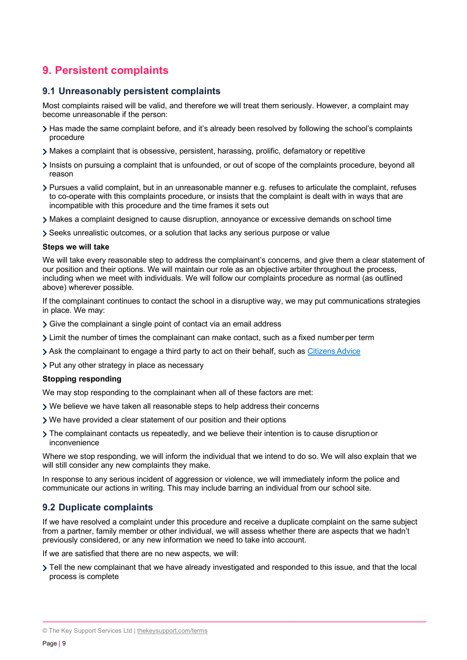# **9. Persistent complaints**

## **9.1 Unreasonably persistent complaints**

Most complaints raised will be valid, and therefore we will treat them seriously. However, a complaint may become unreasonable if the person:

- Has made the same complaint before, and it's already been resolved by following the school's complaints procedure
- Makes a complaint that is obsessive, persistent, harassing, prolific, defamatory or repetitive
- Insists on pursuing a complaint that is unfounded, or out of scope of the complaints procedure, beyond all reason
- Pursues a valid complaint, but in an unreasonable manner e.g. refuses to articulate the complaint, refuses to co-operate with this complaints procedure, or insists that the complaint is dealt with in ways that are incompatible with this procedure and the time frames it sets out
- Makes a complaint designed to cause disruption, annoyance or excessive demands on school time
- Seeks unrealistic outcomes, or a solution that lacks any serious purpose or value

#### **Steps we will take**

We will take every reasonable step to address the complainant's concerns, and give them a clear statement of our position and their options. We will maintain our role as an objective arbiter throughout the process, including when we meet with individuals. We will follow our complaints procedure as normal (as outlined above) wherever possible.

If the complainant continues to contact the school in a disruptive way, we may put communications strategies in place. We may:

- Give the complainant a single point of contact via an email address
- Limit the number of times the complainant can make contact, such as a fixed number per term
- Ask the complainant to engage a third party to act on their behalf, such as Citizens Advice
- > Put any other strategy in place as necessary

#### **Stopping responding**

We may stop responding to the complainant when all of these factors are met:

- We believe we have taken all reasonable steps to help address their concerns
- We have provided a clear statement of our position and their options
- The complainant contacts us repeatedly, and we believe their intention is to cause disruptionor inconvenience

Where we stop responding, we will inform the individual that we intend to do so. We will also explain that we will still consider any new complaints they make.

In response to any serious incident of aggression or violence, we will immediately inform the police and communicate our actions in writing. This may include barring an individual from our school site.

## **9.2 Duplicate complaints**

If we have resolved a complaint under this procedure and receive a duplicate complaint on the same subject from a partner, family member or other individual, we will assess whether there are aspects that we hadn't previously considered, or any new information we need to take into account.

If we are satisfied that there are no new aspects, we will:

Tell the new complainant that we have already investigated and responded to this issue, and that the local process is complete

<sup>©</sup> The Key Support Services Ltd | thekeysupport.com/terms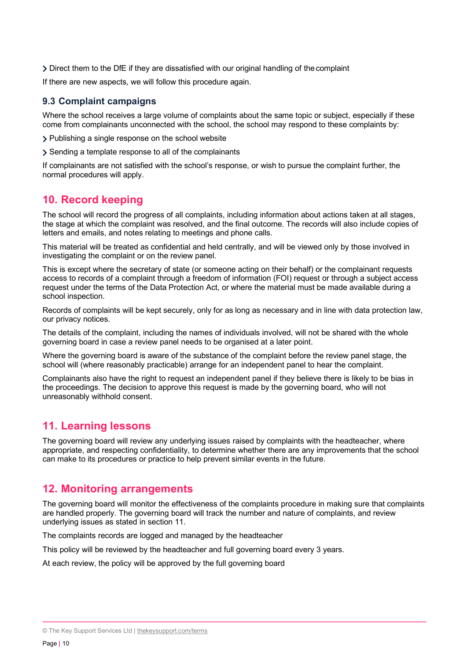Direct them to the DfE if they are dissatisfied with our original handling of thecomplaint

If there are new aspects, we will follow this procedure again.

## **9.3 Complaint campaigns**

Where the school receives a large volume of complaints about the same topic or subject, especially if these come from complainants unconnected with the school, the school may respond to these complaints by:

Publishing a single response on the school website

Sending a template response to all of the complainants

If complainants are not satisfied with the school's response, or wish to pursue the complaint further, the normal procedures will apply.

# **10. Record keeping**

The school will record the progress of all complaints, including information about actions taken at all stages, the stage at which the complaint was resolved, and the final outcome. The records will also include copies of letters and emails, and notes relating to meetings and phone calls.

This material will be treated as confidential and held centrally, and will be viewed only by those involved in investigating the complaint or on the review panel.

This is except where the secretary of state (or someone acting on their behalf) or the complainant requests access to records of a complaint through a freedom of information (FOI) request or through a subject access request under the terms of the Data Protection Act, or where the material must be made available during a school inspection.

Records of complaints will be kept securely, only for as long as necessary and in line with data protection law, our privacy notices.

The details of the complaint, including the names of individuals involved, will not be shared with the whole governing board in case a review panel needs to be organised at a later point.

Where the governing board is aware of the substance of the complaint before the review panel stage, the school will (where reasonably practicable) arrange for an independent panel to hear the complaint.

Complainants also have the right to request an independent panel if they believe there is likely to be bias in the proceedings. The decision to approve this request is made by the governing board, who will not unreasonably withhold consent.

# **11. Learning lessons**

The governing board will review any underlying issues raised by complaints with the headteacher, where appropriate, and respecting confidentiality, to determine whether there are any improvements that the school can make to its procedures or practice to help prevent similar events in the future.

# **12. Monitoring arrangements**

The governing board will monitor the effectiveness of the complaints procedure in making sure that complaints are handled properly. The governing board will track the number and nature of complaints, and review underlying issues as stated in section 11.

The complaints records are logged and managed by the headteacher

This policy will be reviewed by the headteacher and full governing board every 3 years.

At each review, the policy will be approved by the full governing board

<sup>©</sup> The Key Support Services Ltd | thekeysupport.com/terms